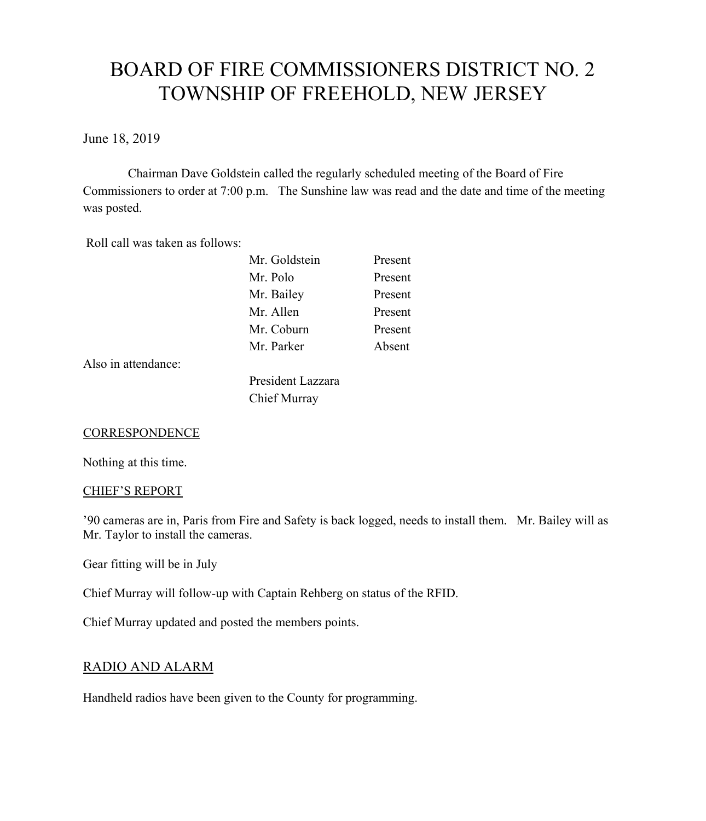# BOARD OF FIRE COMMISSIONERS DISTRICT NO. 2 TOWNSHIP OF FREEHOLD, NEW JERSEY

June 18, 2019

Chairman Dave Goldstein called the regularly scheduled meeting of the Board of Fire Commissioners to order at 7:00 p.m. The Sunshine law was read and the date and time of the meeting was posted.

Roll call was taken as follows:

| Mr. Goldstein | Present |
|---------------|---------|
| Mr. Polo      | Present |
| Mr. Bailey    | Present |
| Mr. Allen     | Present |
| Mr. Coburn    | Present |
| Mr. Parker    | Absent  |
|               |         |
|               |         |

Also in attendance:

President Lazzara Chief Murray

#### **CORRESPONDENCE**

Nothing at this time.

#### CHIEF'S REPORT

'90 cameras are in, Paris from Fire and Safety is back logged, needs to install them. Mr. Bailey will as Mr. Taylor to install the cameras.

Gear fitting will be in July

Chief Murray will follow-up with Captain Rehberg on status of the RFID.

Chief Murray updated and posted the members points.

# RADIO AND ALARM

Handheld radios have been given to the County for programming.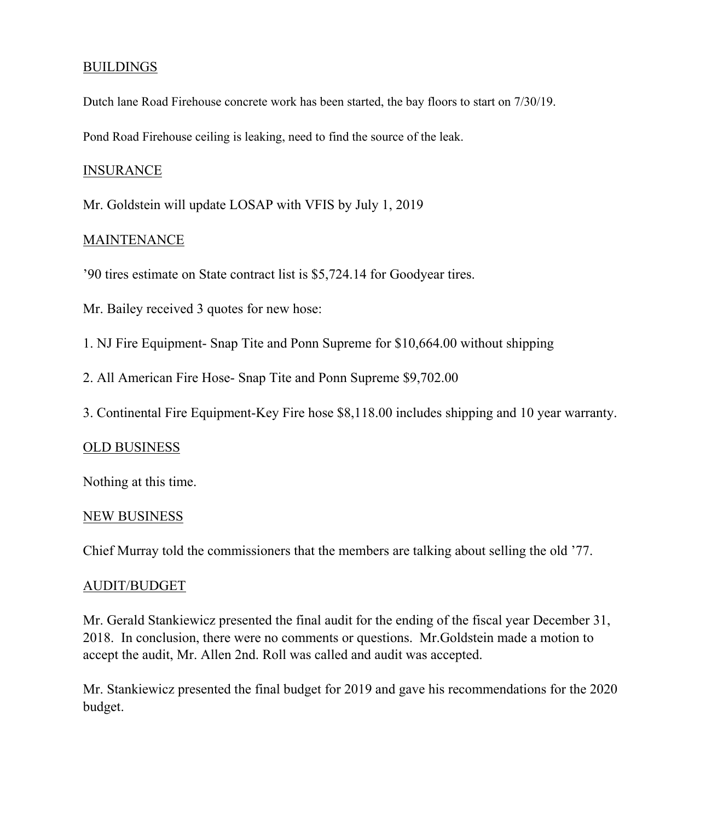# **BUILDINGS**

Dutch lane Road Firehouse concrete work has been started, the bay floors to start on 7/30/19.

Pond Road Firehouse ceiling is leaking, need to find the source of the leak.

### INSURANCE

Mr. Goldstein will update LOSAP with VFIS by July 1, 2019

# **MAINTENANCE**

'90 tires estimate on State contract list is \$5,724.14 for Goodyear tires.

Mr. Bailey received 3 quotes for new hose:

- 1. NJ Fire Equipment- Snap Tite and Ponn Supreme for \$10,664.00 without shipping
- 2. All American Fire Hose- Snap Tite and Ponn Supreme \$9,702.00
- 3. Continental Fire Equipment-Key Fire hose \$8,118.00 includes shipping and 10 year warranty.

# OLD BUSINESS

Nothing at this time.

#### NEW BUSINESS

Chief Murray told the commissioners that the members are talking about selling the old '77.

#### AUDIT/BUDGET

Mr. Gerald Stankiewicz presented the final audit for the ending of the fiscal year December 31, 2018. In conclusion, there were no comments or questions. Mr.Goldstein made a motion to accept the audit, Mr. Allen 2nd. Roll was called and audit was accepted.

Mr. Stankiewicz presented the final budget for 2019 and gave his recommendations for the 2020 budget.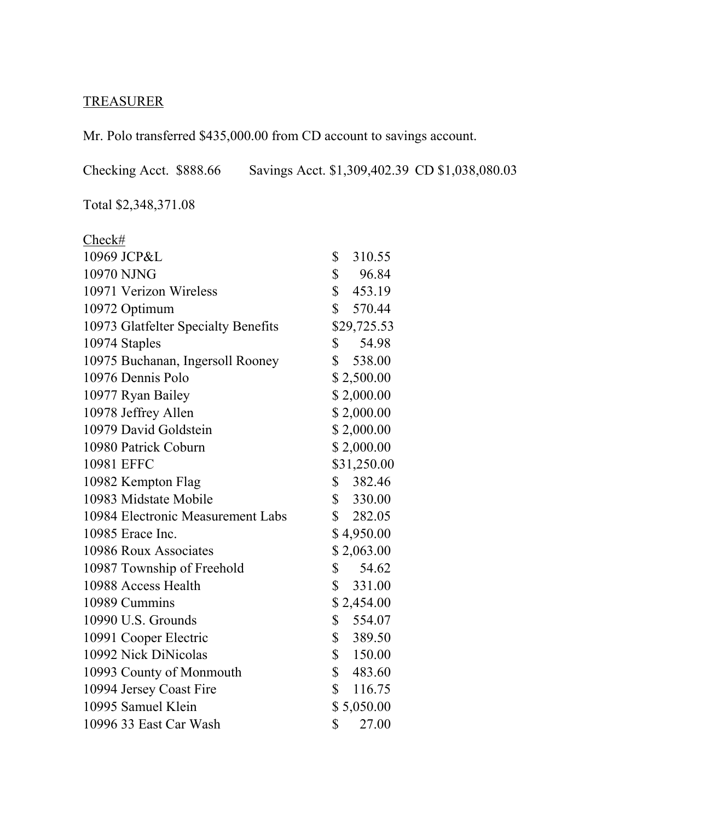# TREASURER

Mr. Polo transferred \$435,000.00 from CD account to savings account.

Checking Acct. \$888.66 Savings Acct. \$1,309,402.39 CD \$1,038,080.03

Total \$2,348,371.08

| Check#                              |                       |
|-------------------------------------|-----------------------|
| 10969 JCP&L                         | \$<br>310.55          |
| 10970 NJNG                          | $\mathbb{S}$<br>96.84 |
| 10971 Verizon Wireless              | \$453.19              |
| 10972 Optimum                       | \$570.44              |
| 10973 Glatfelter Specialty Benefits | \$29,725.53           |
| 10974 Staples                       | $\mathbb{S}$<br>54.98 |
| 10975 Buchanan, Ingersoll Rooney    | \$538.00              |
| 10976 Dennis Polo                   | \$2,500.00            |
| 10977 Ryan Bailey                   | \$2,000.00            |
| 10978 Jeffrey Allen                 | \$2,000.00            |
| 10979 David Goldstein               | \$2,000.00            |
| 10980 Patrick Coburn                | \$2,000.00            |
| 10981 EFFC                          | \$31,250.00           |
| 10982 Kempton Flag                  | \$382.46              |
| 10983 Midstate Mobile               | \$330.00              |
| 10984 Electronic Measurement Labs   | \$282.05              |
| 10985 Erace Inc.                    | \$4,950.00            |
| 10986 Roux Associates               | \$2,063.00            |
| 10987 Township of Freehold          | $\mathbb{S}$<br>54.62 |
| 10988 Access Health                 | \$331.00              |
| 10989 Cummins                       | \$2,454.00            |
| 10990 U.S. Grounds                  | \$<br>554.07          |
| 10991 Cooper Electric               | \$389.50              |
| 10992 Nick DiNicolas                | \$150.00              |
| 10993 County of Monmouth            | \$483.60              |
| 10994 Jersey Coast Fire             | \$116.75              |
| 10995 Samuel Klein                  | \$5,050.00            |
| 10996 33 East Car Wash              | \$<br>27.00           |